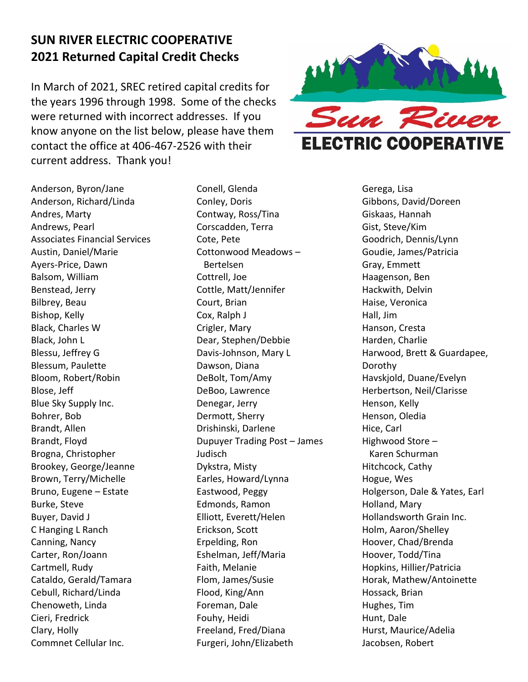## **SUN RIVER ELECTRIC COOPERATIVE 2021 Returned Capital Credit Checks**

In March of 2021, SREC retired capital credits for the years 1996 through 1998. Some of the checks were returned with incorrect addresses. If you know anyone on the list below, please have them contact the office at 406-467-2526 with their current address. Thank you!



Anderson, Byron/Jane Anderson, Richard/Linda Andres, Marty Andrews, Pearl Associates Financial Services Austin, Daniel/Marie Ayers-Price, Dawn Balsom, William Benstead, Jerry Bilbrey, Beau Bishop, Kelly Black, Charles W Black, John L Blessu, Jeffrey G Blessum, Paulette Bloom, Robert/Robin Blose, Jeff Blue Sky Supply Inc. Bohrer, Bob Brandt, Allen Brandt, Floyd Brogna, Christopher Brookey, George/Jeanne Brown, Terry/Michelle Bruno, Eugene – Estate Burke, Steve Buyer, David J C Hanging L Ranch Canning, Nancy Carter, Ron/Joann Cartmell, Rudy Cataldo, Gerald/Tamara Cebull, Richard/Linda Chenoweth, Linda Cieri, Fredrick Clary, Holly Commnet Cellular Inc.

Conell, Glenda Conley, Doris Contway, Ross/Tina Corscadden, Terra Cote, Pete Cottonwood Meadows – Bertelsen Cottrell, Joe Cottle, Matt/Jennifer Court, Brian Cox, Ralph J Crigler, Mary Dear, Stephen/Debbie Davis-Johnson, Mary L Dawson, Diana DeBolt, Tom/Amy DeBoo, Lawrence Denegar, Jerry Dermott, Sherry Drishinski, Darlene Dupuyer Trading Post – James Judisch Dykstra, Misty Earles, Howard/Lynna Eastwood, Peggy Edmonds, Ramon Elliott, Everett/Helen Erickson, Scott Erpelding, Ron Eshelman, Jeff/Maria Faith, Melanie Flom, James/Susie Flood, King/Ann Foreman, Dale Fouhy, Heidi Freeland, Fred/Diana Furgeri, John/Elizabeth

Gerega, Lisa Gibbons, David/Doreen Giskaas, Hannah Gist, Steve/Kim Goodrich, Dennis/Lynn Goudie, James/Patricia Gray, Emmett Haagenson, Ben Hackwith, Delvin Haise, Veronica Hall, Jim Hanson, Cresta Harden, Charlie Harwood, Brett & Guardapee, Dorothy Havskjold, Duane/Evelyn Herbertson, Neil/Clarisse Henson, Kelly Henson, Oledia Hice, Carl Highwood Store – Karen Schurman Hitchcock, Cathy Hogue, Wes Holgerson, Dale & Yates, Earl Holland, Mary Hollandsworth Grain Inc. Holm, Aaron/Shelley Hoover, Chad/Brenda Hoover, Todd/Tina Hopkins, Hillier/Patricia Horak, Mathew/Antoinette Hossack, Brian Hughes, Tim Hunt, Dale Hurst, Maurice/Adelia Jacobsen, Robert